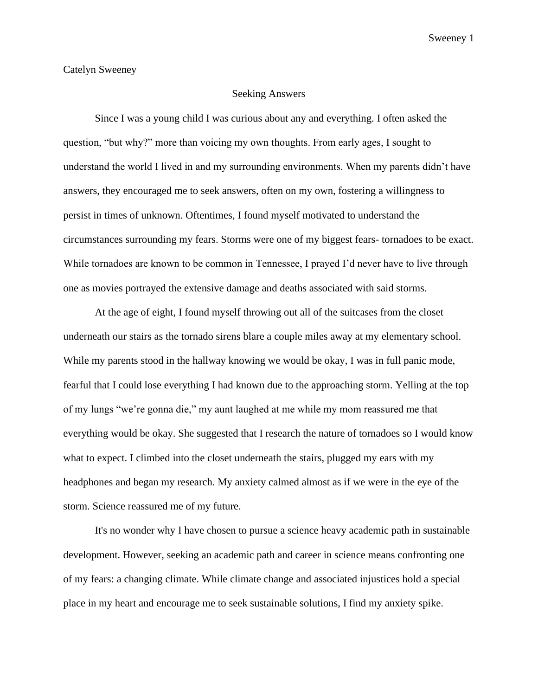## Seeking Answers

Since I was a young child I was curious about any and everything. I often asked the question, "but why?" more than voicing my own thoughts. From early ages, I sought to understand the world I lived in and my surrounding environments. When my parents didn't have answers, they encouraged me to seek answers, often on my own, fostering a willingness to persist in times of unknown. Oftentimes, I found myself motivated to understand the circumstances surrounding my fears. Storms were one of my biggest fears- tornadoes to be exact. While tornadoes are known to be common in Tennessee, I prayed I'd never have to live through one as movies portrayed the extensive damage and deaths associated with said storms.

At the age of eight, I found myself throwing out all of the suitcases from the closet underneath our stairs as the tornado sirens blare a couple miles away at my elementary school. While my parents stood in the hallway knowing we would be okay, I was in full panic mode, fearful that I could lose everything I had known due to the approaching storm. Yelling at the top of my lungs "we're gonna die," my aunt laughed at me while my mom reassured me that everything would be okay. She suggested that I research the nature of tornadoes so I would know what to expect. I climbed into the closet underneath the stairs, plugged my ears with my headphones and began my research. My anxiety calmed almost as if we were in the eye of the storm. Science reassured me of my future.

It's no wonder why I have chosen to pursue a science heavy academic path in sustainable development. However, seeking an academic path and career in science means confronting one of my fears: a changing climate. While climate change and associated injustices hold a special place in my heart and encourage me to seek sustainable solutions, I find my anxiety spike.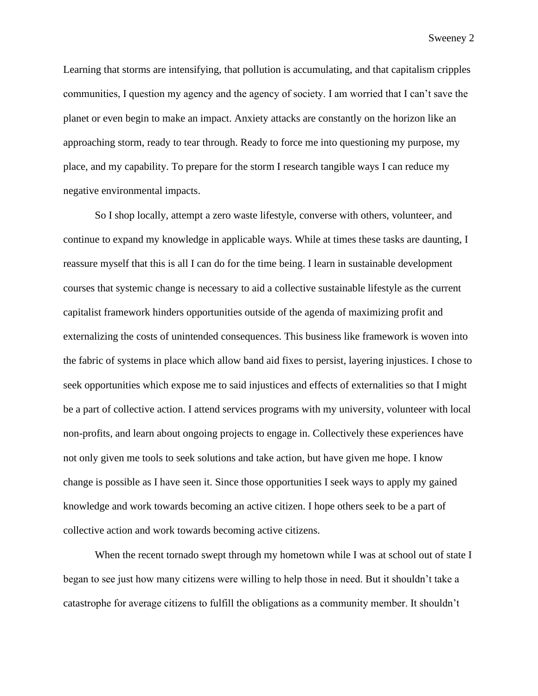Sweeney 2

Learning that storms are intensifying, that pollution is accumulating, and that capitalism cripples communities, I question my agency and the agency of society. I am worried that I can't save the planet or even begin to make an impact. Anxiety attacks are constantly on the horizon like an approaching storm, ready to tear through. Ready to force me into questioning my purpose, my place, and my capability. To prepare for the storm I research tangible ways I can reduce my negative environmental impacts.

So I shop locally, attempt a zero waste lifestyle, converse with others, volunteer, and continue to expand my knowledge in applicable ways. While at times these tasks are daunting, I reassure myself that this is all I can do for the time being. I learn in sustainable development courses that systemic change is necessary to aid a collective sustainable lifestyle as the current capitalist framework hinders opportunities outside of the agenda of maximizing profit and externalizing the costs of unintended consequences. This business like framework is woven into the fabric of systems in place which allow band aid fixes to persist, layering injustices. I chose to seek opportunities which expose me to said injustices and effects of externalities so that I might be a part of collective action. I attend services programs with my university, volunteer with local non-profits, and learn about ongoing projects to engage in. Collectively these experiences have not only given me tools to seek solutions and take action, but have given me hope. I know change is possible as I have seen it. Since those opportunities I seek ways to apply my gained knowledge and work towards becoming an active citizen. I hope others seek to be a part of collective action and work towards becoming active citizens.

When the recent tornado swept through my hometown while I was at school out of state I began to see just how many citizens were willing to help those in need. But it shouldn't take a catastrophe for average citizens to fulfill the obligations as a community member. It shouldn't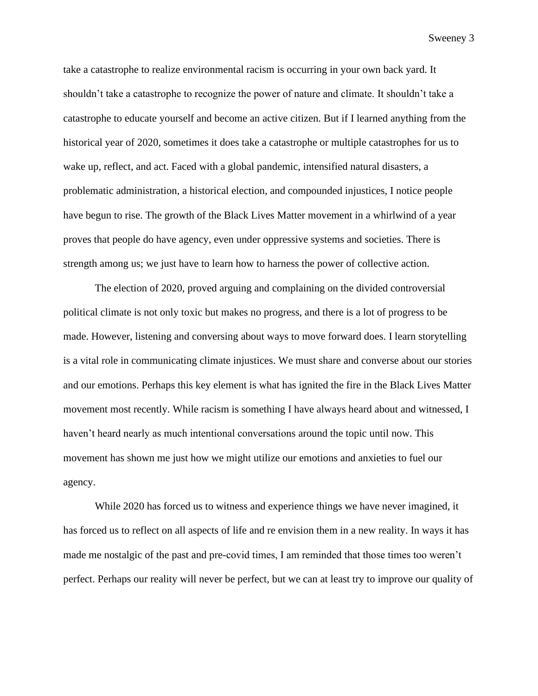Sweeney 3

take a catastrophe to realize environmental racism is occurring in your own back yard. It shouldn't take a catastrophe to recognize the power of nature and climate. It shouldn't take a catastrophe to educate yourself and become an active citizen. But if I learned anything from the historical year of 2020, sometimes it does take a catastrophe or multiple catastrophes for us to wake up, reflect, and act. Faced with a global pandemic, intensified natural disasters, a problematic administration, a historical election, and compounded injustices, I notice people have begun to rise. The growth of the Black Lives Matter movement in a whirlwind of a year proves that people do have agency, even under oppressive systems and societies. There is strength among us; we just have to learn how to harness the power of collective action.

The election of 2020, proved arguing and complaining on the divided controversial political climate is not only toxic but makes no progress, and there is a lot of progress to be made. However, listening and conversing about ways to move forward does. I learn storytelling is a vital role in communicating climate injustices. We must share and converse about our stories and our emotions. Perhaps this key element is what has ignited the fire in the Black Lives Matter movement most recently. While racism is something I have always heard about and witnessed, I haven't heard nearly as much intentional conversations around the topic until now. This movement has shown me just how we might utilize our emotions and anxieties to fuel our agency.

While 2020 has forced us to witness and experience things we have never imagined, it has forced us to reflect on all aspects of life and re envision them in a new reality. In ways it has made me nostalgic of the past and pre-covid times, I am reminded that those times too weren't perfect. Perhaps our reality will never be perfect, but we can at least try to improve our quality of